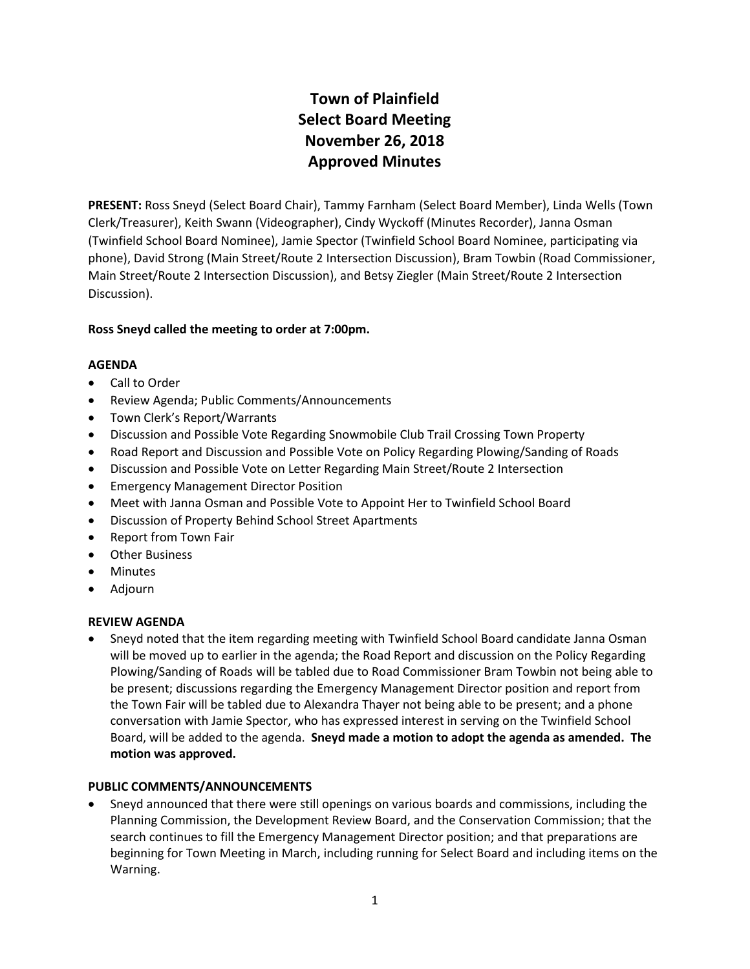# **Town of Plainfield Select Board Meeting November 26, 2018 Approved Minutes**

**PRESENT:** Ross Sneyd (Select Board Chair), Tammy Farnham (Select Board Member), Linda Wells (Town Clerk/Treasurer), Keith Swann (Videographer), Cindy Wyckoff (Minutes Recorder), Janna Osman (Twinfield School Board Nominee), Jamie Spector (Twinfield School Board Nominee, participating via phone), David Strong (Main Street/Route 2 Intersection Discussion), Bram Towbin (Road Commissioner, Main Street/Route 2 Intersection Discussion), and Betsy Ziegler (Main Street/Route 2 Intersection Discussion).

#### **Ross Sneyd called the meeting to order at 7:00pm.**

#### **AGENDA**

- Call to Order
- Review Agenda; Public Comments/Announcements
- Town Clerk's Report/Warrants
- Discussion and Possible Vote Regarding Snowmobile Club Trail Crossing Town Property
- Road Report and Discussion and Possible Vote on Policy Regarding Plowing/Sanding of Roads
- Discussion and Possible Vote on Letter Regarding Main Street/Route 2 Intersection
- Emergency Management Director Position
- Meet with Janna Osman and Possible Vote to Appoint Her to Twinfield School Board
- Discussion of Property Behind School Street Apartments
- Report from Town Fair
- Other Business
- Minutes
- Adjourn

#### **REVIEW AGENDA**

 Sneyd noted that the item regarding meeting with Twinfield School Board candidate Janna Osman will be moved up to earlier in the agenda; the Road Report and discussion on the Policy Regarding Plowing/Sanding of Roads will be tabled due to Road Commissioner Bram Towbin not being able to be present; discussions regarding the Emergency Management Director position and report from the Town Fair will be tabled due to Alexandra Thayer not being able to be present; and a phone conversation with Jamie Spector, who has expressed interest in serving on the Twinfield School Board, will be added to the agenda. **Sneyd made a motion to adopt the agenda as amended. The motion was approved.**

#### **PUBLIC COMMENTS/ANNOUNCEMENTS**

 Sneyd announced that there were still openings on various boards and commissions, including the Planning Commission, the Development Review Board, and the Conservation Commission; that the search continues to fill the Emergency Management Director position; and that preparations are beginning for Town Meeting in March, including running for Select Board and including items on the Warning.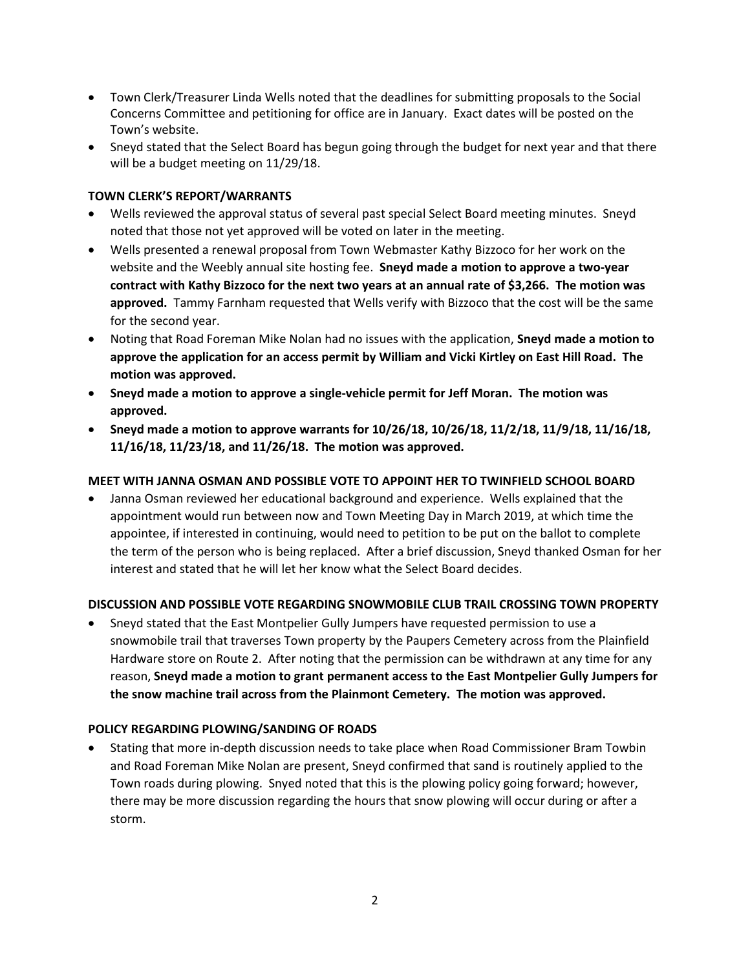- Town Clerk/Treasurer Linda Wells noted that the deadlines for submitting proposals to the Social Concerns Committee and petitioning for office are in January. Exact dates will be posted on the Town's website.
- Sneyd stated that the Select Board has begun going through the budget for next year and that there will be a budget meeting on 11/29/18.

#### **TOWN CLERK'S REPORT/WARRANTS**

- Wells reviewed the approval status of several past special Select Board meeting minutes. Sneyd noted that those not yet approved will be voted on later in the meeting.
- Wells presented a renewal proposal from Town Webmaster Kathy Bizzoco for her work on the website and the Weebly annual site hosting fee. **Sneyd made a motion to approve a two-year contract with Kathy Bizzoco for the next two years at an annual rate of \$3,266. The motion was approved.** Tammy Farnham requested that Wells verify with Bizzoco that the cost will be the same for the second year.
- Noting that Road Foreman Mike Nolan had no issues with the application, **Sneyd made a motion to approve the application for an access permit by William and Vicki Kirtley on East Hill Road. The motion was approved.**
- **Sneyd made a motion to approve a single-vehicle permit for Jeff Moran. The motion was approved.**
- **Sneyd made a motion to approve warrants for 10/26/18, 10/26/18, 11/2/18, 11/9/18, 11/16/18, 11/16/18, 11/23/18, and 11/26/18. The motion was approved.**

#### **MEET WITH JANNA OSMAN AND POSSIBLE VOTE TO APPOINT HER TO TWINFIELD SCHOOL BOARD**

 Janna Osman reviewed her educational background and experience. Wells explained that the appointment would run between now and Town Meeting Day in March 2019, at which time the appointee, if interested in continuing, would need to petition to be put on the ballot to complete the term of the person who is being replaced. After a brief discussion, Sneyd thanked Osman for her interest and stated that he will let her know what the Select Board decides.

#### **DISCUSSION AND POSSIBLE VOTE REGARDING SNOWMOBILE CLUB TRAIL CROSSING TOWN PROPERTY**

 Sneyd stated that the East Montpelier Gully Jumpers have requested permission to use a snowmobile trail that traverses Town property by the Paupers Cemetery across from the Plainfield Hardware store on Route 2. After noting that the permission can be withdrawn at any time for any reason, **Sneyd made a motion to grant permanent access to the East Montpelier Gully Jumpers for the snow machine trail across from the Plainmont Cemetery. The motion was approved.**

#### **POLICY REGARDING PLOWING/SANDING OF ROADS**

 Stating that more in-depth discussion needs to take place when Road Commissioner Bram Towbin and Road Foreman Mike Nolan are present, Sneyd confirmed that sand is routinely applied to the Town roads during plowing. Snyed noted that this is the plowing policy going forward; however, there may be more discussion regarding the hours that snow plowing will occur during or after a storm.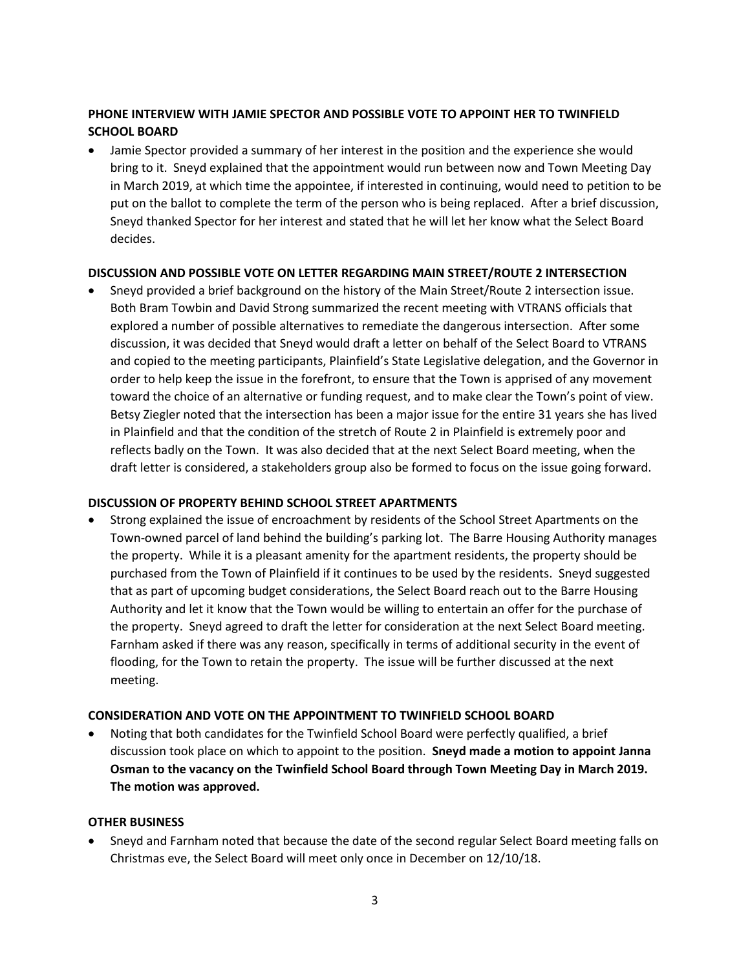## **PHONE INTERVIEW WITH JAMIE SPECTOR AND POSSIBLE VOTE TO APPOINT HER TO TWINFIELD SCHOOL BOARD**

 Jamie Spector provided a summary of her interest in the position and the experience she would bring to it. Sneyd explained that the appointment would run between now and Town Meeting Day in March 2019, at which time the appointee, if interested in continuing, would need to petition to be put on the ballot to complete the term of the person who is being replaced. After a brief discussion, Sneyd thanked Spector for her interest and stated that he will let her know what the Select Board decides.

#### **DISCUSSION AND POSSIBLE VOTE ON LETTER REGARDING MAIN STREET/ROUTE 2 INTERSECTION**

 Sneyd provided a brief background on the history of the Main Street/Route 2 intersection issue. Both Bram Towbin and David Strong summarized the recent meeting with VTRANS officials that explored a number of possible alternatives to remediate the dangerous intersection. After some discussion, it was decided that Sneyd would draft a letter on behalf of the Select Board to VTRANS and copied to the meeting participants, Plainfield's State Legislative delegation, and the Governor in order to help keep the issue in the forefront, to ensure that the Town is apprised of any movement toward the choice of an alternative or funding request, and to make clear the Town's point of view. Betsy Ziegler noted that the intersection has been a major issue for the entire 31 years she has lived in Plainfield and that the condition of the stretch of Route 2 in Plainfield is extremely poor and reflects badly on the Town. It was also decided that at the next Select Board meeting, when the draft letter is considered, a stakeholders group also be formed to focus on the issue going forward.

#### **DISCUSSION OF PROPERTY BEHIND SCHOOL STREET APARTMENTS**

 Strong explained the issue of encroachment by residents of the School Street Apartments on the Town-owned parcel of land behind the building's parking lot. The Barre Housing Authority manages the property. While it is a pleasant amenity for the apartment residents, the property should be purchased from the Town of Plainfield if it continues to be used by the residents. Sneyd suggested that as part of upcoming budget considerations, the Select Board reach out to the Barre Housing Authority and let it know that the Town would be willing to entertain an offer for the purchase of the property. Sneyd agreed to draft the letter for consideration at the next Select Board meeting. Farnham asked if there was any reason, specifically in terms of additional security in the event of flooding, for the Town to retain the property. The issue will be further discussed at the next meeting.

### **CONSIDERATION AND VOTE ON THE APPOINTMENT TO TWINFIELD SCHOOL BOARD**

 Noting that both candidates for the Twinfield School Board were perfectly qualified, a brief discussion took place on which to appoint to the position. **Sneyd made a motion to appoint Janna Osman to the vacancy on the Twinfield School Board through Town Meeting Day in March 2019. The motion was approved.** 

#### **OTHER BUSINESS**

 Sneyd and Farnham noted that because the date of the second regular Select Board meeting falls on Christmas eve, the Select Board will meet only once in December on 12/10/18.